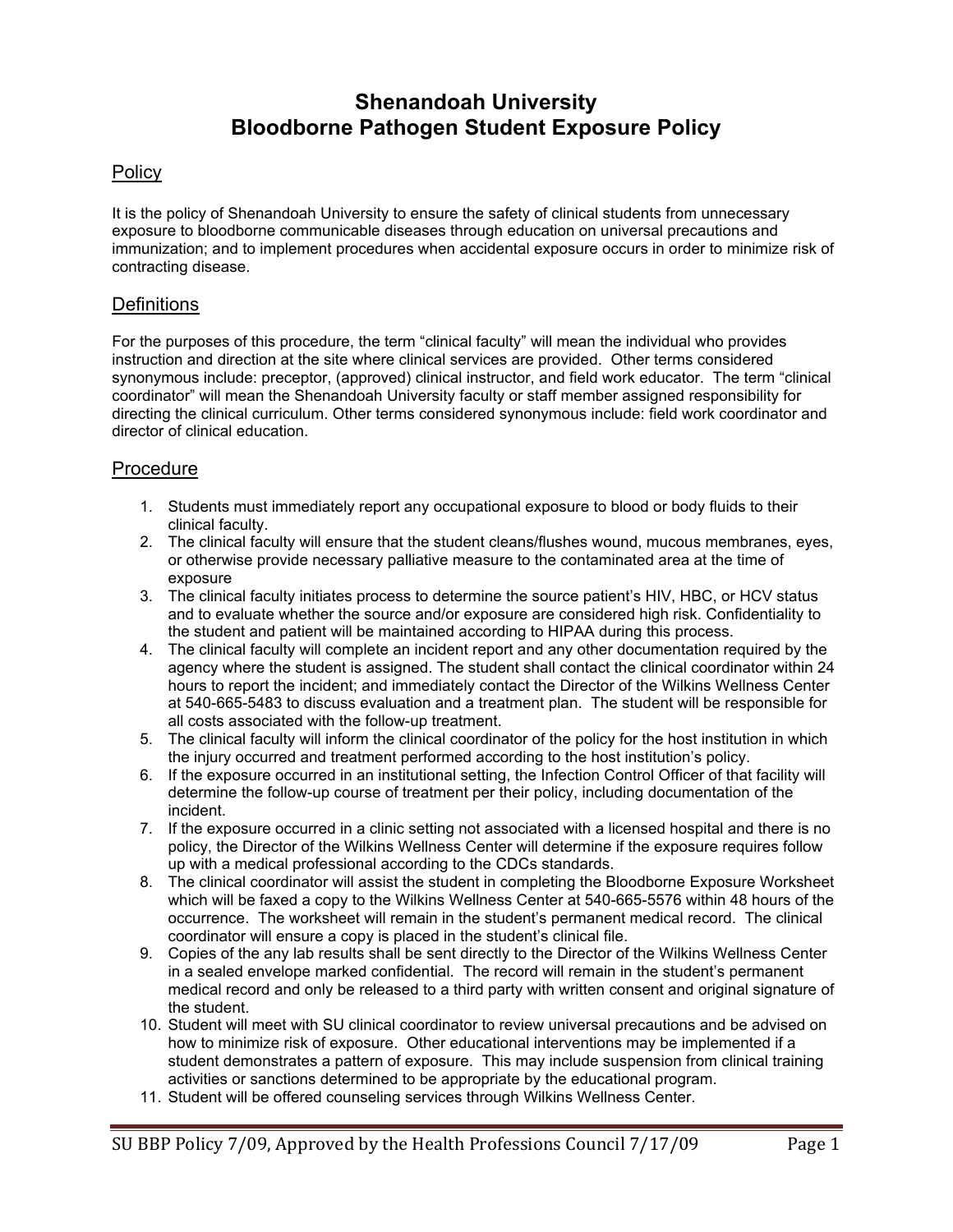### **Shenandoah University Bloodborne Pathogen Student Exposure Policy**

### **Policy**

It is the policy of Shenandoah University to ensure the safety of clinical students from unnecessary exposure to bloodborne communicable diseases through education on universal precautions and immunization; and to implement procedures when accidental exposure occurs in order to minimize risk of contracting disease.

### **Definitions**

For the purposes of this procedure, the term "clinical faculty" will mean the individual who provides instruction and direction at the site where clinical services are provided. Other terms considered synonymous include: preceptor, (approved) clinical instructor, and field work educator. The term "clinical coordinator" will mean the Shenandoah University faculty or staff member assigned responsibility for directing the clinical curriculum. Other terms considered synonymous include: field work coordinator and director of clinical education.

#### Procedure

- 1. Students must immediately report any occupational exposure to blood or body fluids to their clinical faculty.
- 2. The clinical faculty will ensure that the student cleans/flushes wound, mucous membranes, eyes, or otherwise provide necessary palliative measure to the contaminated area at the time of exposure
- 3. The clinical faculty initiates process to determine the source patient's HIV, HBC, or HCV status and to evaluate whether the source and/or exposure are considered high risk. Confidentiality to the student and patient will be maintained according to HIPAA during this process.
- 4. The clinical faculty will complete an incident report and any other documentation required by the agency where the student is assigned. The student shall contact the clinical coordinator within 24 hours to report the incident; and immediately contact the Director of the Wilkins Wellness Center at 540-665-5483 to discuss evaluation and a treatment plan. The student will be responsible for all costs associated with the follow-up treatment.
- 5. The clinical faculty will inform the clinical coordinator of the policy for the host institution in which the injury occurred and treatment performed according to the host institution's policy.
- 6. If the exposure occurred in an institutional setting, the Infection Control Officer of that facility will determine the follow-up course of treatment per their policy, including documentation of the incident.
- 7. If the exposure occurred in a clinic setting not associated with a licensed hospital and there is no policy, the Director of the Wilkins Wellness Center will determine if the exposure requires follow up with a medical professional according to the CDCs standards.
- 8. The clinical coordinator will assist the student in completing the Bloodborne Exposure Worksheet which will be faxed a copy to the Wilkins Wellness Center at 540-665-5576 within 48 hours of the occurrence. The worksheet will remain in the student's permanent medical record. The clinical coordinator will ensure a copy is placed in the student's clinical file.
- 9. Copies of the any lab results shall be sent directly to the Director of the Wilkins Wellness Center in a sealed envelope marked confidential. The record will remain in the student's permanent medical record and only be released to a third party with written consent and original signature of the student.
- 10. Student will meet with SU clinical coordinator to review universal precautions and be advised on how to minimize risk of exposure. Other educational interventions may be implemented if a student demonstrates a pattern of exposure. This may include suspension from clinical training activities or sanctions determined to be appropriate by the educational program.
- 11. Student will be offered counseling services through Wilkins Wellness Center.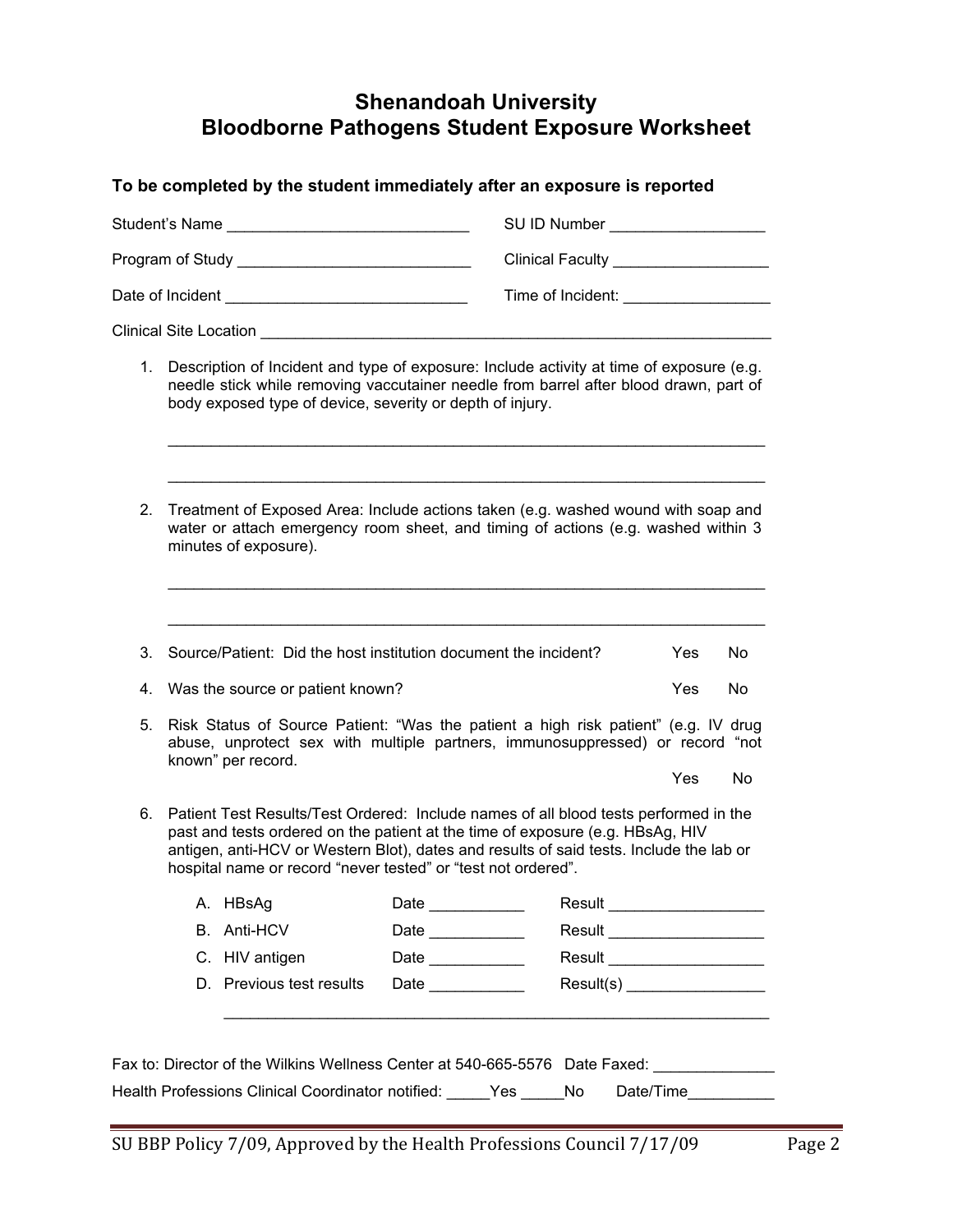# **Shenandoah University Bloodborne Pathogens Student Exposure Worksheet**

### **To be completed by the student immediately after an exposure is reported**

|                                                                             |                                                                                                                                                                                                                                                                                                                                    | Student's Name                                                  |                   | SU ID Number ____________________            |     |     |  |  |  |
|-----------------------------------------------------------------------------|------------------------------------------------------------------------------------------------------------------------------------------------------------------------------------------------------------------------------------------------------------------------------------------------------------------------------------|-----------------------------------------------------------------|-------------------|----------------------------------------------|-----|-----|--|--|--|
|                                                                             |                                                                                                                                                                                                                                                                                                                                    |                                                                 |                   | Clinical Faculty __________________          |     |     |  |  |  |
|                                                                             |                                                                                                                                                                                                                                                                                                                                    |                                                                 |                   | Time of Incident: <u>___________________</u> |     |     |  |  |  |
|                                                                             |                                                                                                                                                                                                                                                                                                                                    |                                                                 |                   |                                              |     |     |  |  |  |
|                                                                             | 1. Description of Incident and type of exposure: Include activity at time of exposure (e.g.<br>needle stick while removing vaccutainer needle from barrel after blood drawn, part of<br>body exposed type of device, severity or depth of injury.                                                                                  |                                                                 |                   |                                              |     |     |  |  |  |
| 2.                                                                          | Treatment of Exposed Area: Include actions taken (e.g. washed wound with soap and<br>water or attach emergency room sheet, and timing of actions (e.g. washed within 3<br>minutes of exposure).                                                                                                                                    |                                                                 |                   |                                              |     |     |  |  |  |
| 3.                                                                          |                                                                                                                                                                                                                                                                                                                                    | Source/Patient: Did the host institution document the incident? |                   |                                              | Yes | No. |  |  |  |
| 4.                                                                          | Was the source or patient known?<br>Yes                                                                                                                                                                                                                                                                                            |                                                                 |                   |                                              |     | No. |  |  |  |
| 5.                                                                          | Risk Status of Source Patient: "Was the patient a high risk patient" (e.g. IV drug<br>abuse, unprotect sex with multiple partners, immunosuppressed) or record "not                                                                                                                                                                |                                                                 |                   |                                              |     |     |  |  |  |
|                                                                             |                                                                                                                                                                                                                                                                                                                                    | known" per record.                                              |                   |                                              | Yes | No  |  |  |  |
| 6.                                                                          | Patient Test Results/Test Ordered: Include names of all blood tests performed in the<br>past and tests ordered on the patient at the time of exposure (e.g. HBsAg, HIV<br>antigen, anti-HCV or Western Blot), dates and results of said tests. Include the lab or<br>hospital name or record "never tested" or "test not ordered". |                                                                 |                   |                                              |     |     |  |  |  |
|                                                                             |                                                                                                                                                                                                                                                                                                                                    | A. HBsAg Date                                                   |                   | _____________  Result <sub>。</sub>           |     |     |  |  |  |
|                                                                             |                                                                                                                                                                                                                                                                                                                                    | <b>B.</b> Anti-HCV                                              |                   | Result _____________________                 |     |     |  |  |  |
|                                                                             |                                                                                                                                                                                                                                                                                                                                    | C. HIV antigen                                                  | Date ____________ | Result _____________________                 |     |     |  |  |  |
|                                                                             |                                                                                                                                                                                                                                                                                                                                    | D. Previous test results                                        | Date              | Result(s)                                    |     |     |  |  |  |
|                                                                             |                                                                                                                                                                                                                                                                                                                                    |                                                                 |                   |                                              |     |     |  |  |  |
| Fax to: Director of the Wilkins Wellness Center at 540-665-5576 Date Faxed: |                                                                                                                                                                                                                                                                                                                                    |                                                                 |                   |                                              |     |     |  |  |  |
|                                                                             |                                                                                                                                                                                                                                                                                                                                    | Health Professions Clinical Coordinator notified:               |                   | Yes<br>No<br>Date/Time                       |     |     |  |  |  |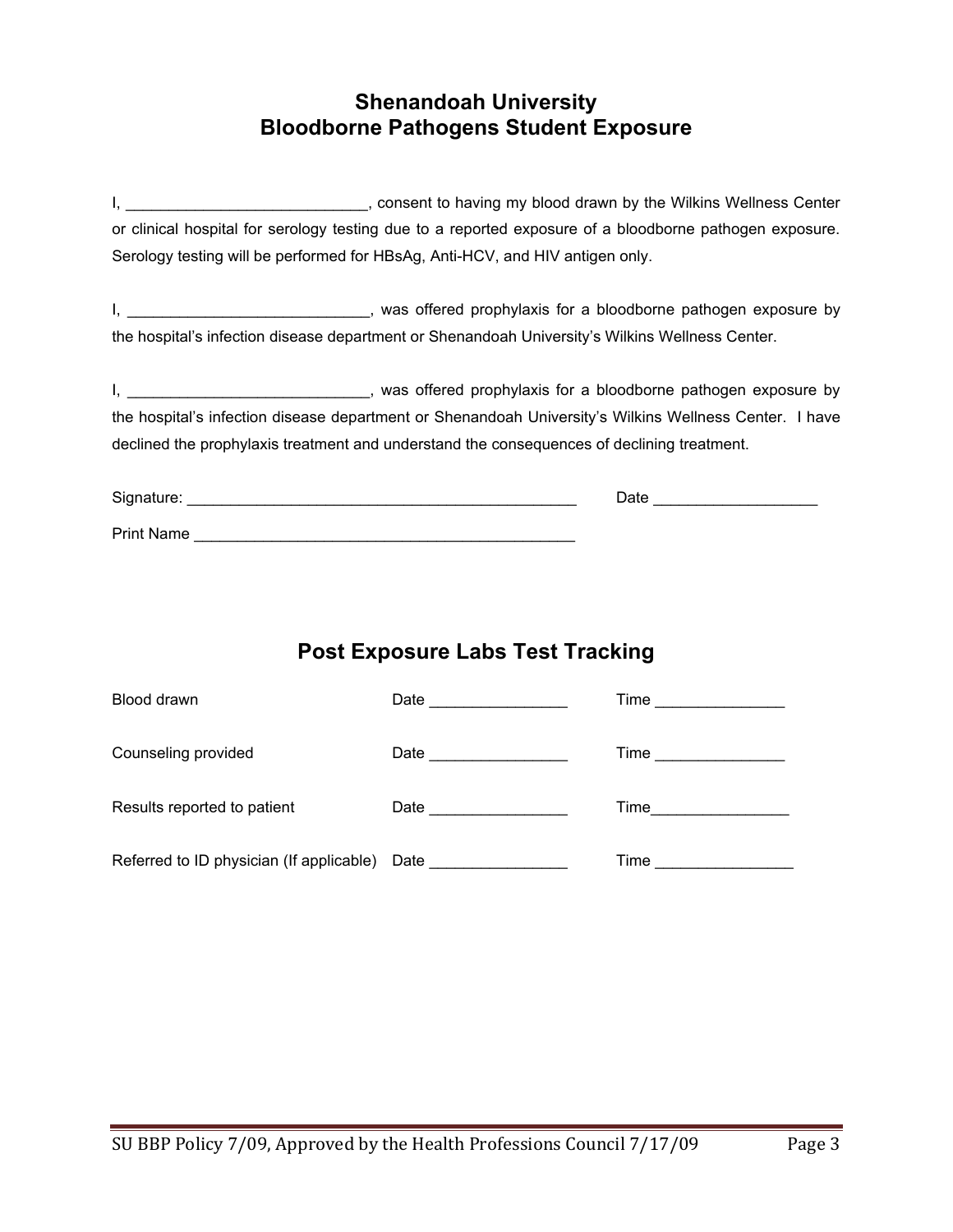## **Shenandoah University Bloodborne Pathogens Student Exposure**

I, \_\_\_\_\_\_\_\_\_\_\_\_\_\_\_\_\_\_\_\_\_\_\_\_\_\_\_\_\_, consent to having my blood drawn by the Wilkins Wellness Center or clinical hospital for serology testing due to a reported exposure of a bloodborne pathogen exposure. Serology testing will be performed for HBsAg, Anti-HCV, and HIV antigen only.

I,  $\frac{1}{2}$  and  $\frac{1}{2}$  are  $\frac{1}{2}$  and  $\frac{1}{2}$  was offered prophylaxis for a bloodborne pathogen exposure by the hospital's infection disease department or Shenandoah University's Wilkins Wellness Center.

I, \_\_\_\_\_\_\_\_\_\_\_\_\_\_\_\_\_\_\_\_\_\_\_\_\_\_\_\_\_\_, was offered prophylaxis for a bloodborne pathogen exposure by the hospital's infection disease department or Shenandoah University's Wilkins Wellness Center. I have declined the prophylaxis treatment and understand the consequences of declining treatment.

| Signature:        | Date |
|-------------------|------|
| <b>Print Name</b> |      |

# **Post Exposure Labs Test Tracking**

| Blood drawn                              | Date and the state of the state of the state of the state of the state of the state of the state of the state o | Time |
|------------------------------------------|-----------------------------------------------------------------------------------------------------------------|------|
| Counseling provided                      | Date and the state of the state of the state of the state of the state of the state of the state of the state o | Time |
| Results reported to patient              | Date ___________                                                                                                | Time |
| Referred to ID physician (If applicable) | Date                                                                                                            | Time |